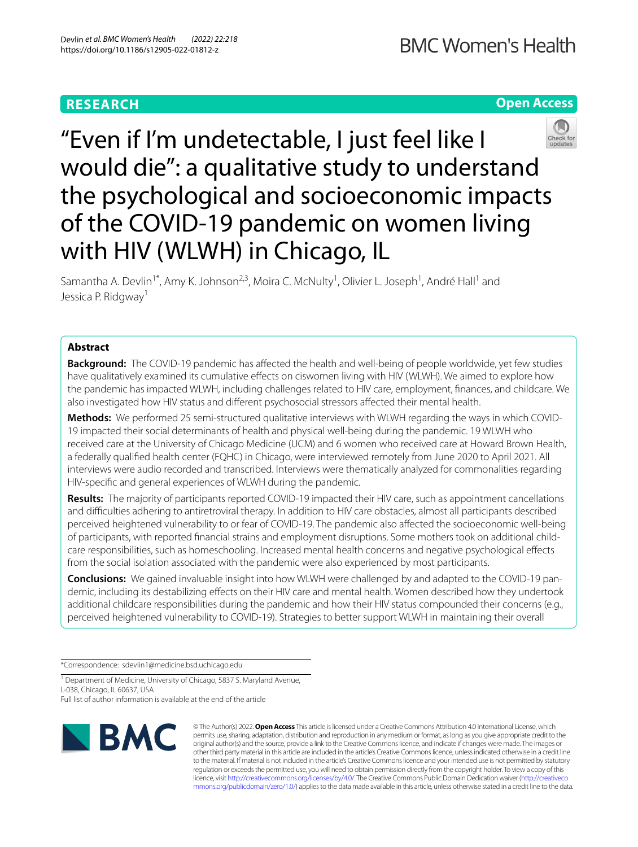# **Open Access**



"Even if I'm undetectable, I just feel like I would die": a qualitative study to understand the psychological and socioeconomic impacts of the COVID-19 pandemic on women living with HIV (WLWH) in Chicago, IL

Samantha A. Devlin<sup>1\*</sup>, Amy K. Johnson<sup>2,3</sup>, Moira C. McNulty<sup>1</sup>, Olivier L. Joseph<sup>1</sup>, André Hall<sup>1</sup> and Jessica P. Ridgway<sup>1</sup>

# **Abstract**

**Background:** The COVID-19 pandemic has afected the health and well-being of people worldwide, yet few studies have qualitatively examined its cumulative effects on ciswomen living with HIV (WLWH). We aimed to explore how the pandemic has impacted WLWH, including challenges related to HIV care, employment, fnances, and childcare. We also investigated how HIV status and diferent psychosocial stressors afected their mental health.

**Methods:** We performed 25 semi-structured qualitative interviews with WLWH regarding the ways in which COVID-19 impacted their social determinants of health and physical well-being during the pandemic. 19 WLWH who received care at the University of Chicago Medicine (UCM) and 6 women who received care at Howard Brown Health, a federally qualifed health center (FQHC) in Chicago, were interviewed remotely from June 2020 to April 2021. All interviews were audio recorded and transcribed. Interviews were thematically analyzed for commonalities regarding HIV-specifc and general experiences of WLWH during the pandemic.

**Results:** The majority of participants reported COVID-19 impacted their HIV care, such as appointment cancellations and difculties adhering to antiretroviral therapy. In addition to HIV care obstacles, almost all participants described perceived heightened vulnerability to or fear of COVID-19. The pandemic also afected the socioeconomic well-being of participants, with reported fnancial strains and employment disruptions. Some mothers took on additional childcare responsibilities, such as homeschooling. Increased mental health concerns and negative psychological efects from the social isolation associated with the pandemic were also experienced by most participants.

**Conclusions:** We gained invaluable insight into how WLWH were challenged by and adapted to the COVID-19 pandemic, including its destabilizing efects on their HIV care and mental health. Women described how they undertook additional childcare responsibilities during the pandemic and how their HIV status compounded their concerns (e.g., perceived heightened vulnerability to COVID-19). Strategies to better support WLWH in maintaining their overall

\*Correspondence: sdevlin1@medicine.bsd.uchicago.edu

<sup>1</sup> Department of Medicine, University of Chicago, 5837 S. Maryland Avenue, L-038, Chicago, IL 60637, USA

Full list of author information is available at the end of the article



© The Author(s) 2022. **Open Access** This article is licensed under a Creative Commons Attribution 4.0 International License, which permits use, sharing, adaptation, distribution and reproduction in any medium or format, as long as you give appropriate credit to the original author(s) and the source, provide a link to the Creative Commons licence, and indicate if changes were made. The images or other third party material in this article are included in the article's Creative Commons licence, unless indicated otherwise in a credit line to the material. If material is not included in the article's Creative Commons licence and your intended use is not permitted by statutory regulation or exceeds the permitted use, you will need to obtain permission directly from the copyright holder. To view a copy of this licence, visit [http://creativecommons.org/licenses/by/4.0/.](http://creativecommons.org/licenses/by/4.0/) The Creative Commons Public Domain Dedication waiver ([http://creativeco](http://creativecommons.org/publicdomain/zero/1.0/) [mmons.org/publicdomain/zero/1.0/](http://creativecommons.org/publicdomain/zero/1.0/)) applies to the data made available in this article, unless otherwise stated in a credit line to the data.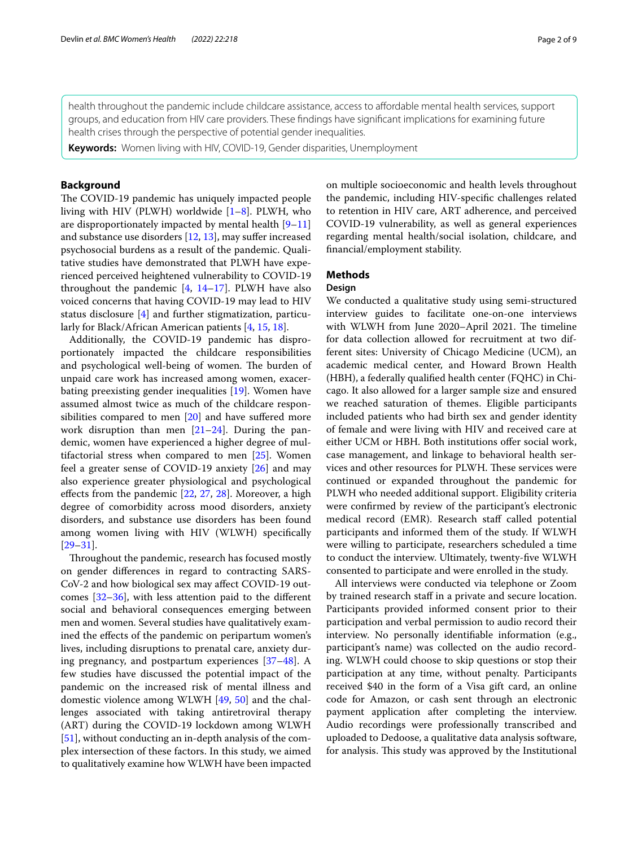health throughout the pandemic include childcare assistance, access to afordable mental health services, support groups, and education from HIV care providers. These fndings have signifcant implications for examining future health crises through the perspective of potential gender inequalities.

**Keywords:** Women living with HIV, COVID-19, Gender disparities, Unemployment

# **Background**

The COVID-19 pandemic has uniquely impacted people living with HIV (PLWH) worldwide [\[1](#page-7-0)[–8](#page-7-1)]. PLWH, who are disproportionately impacted by mental health [[9–](#page-7-2)[11](#page-7-3)] and substance use disorders [\[12](#page-7-4), [13\]](#page-7-5), may sufer increased psychosocial burdens as a result of the pandemic. Qualitative studies have demonstrated that PLWH have experienced perceived heightened vulnerability to COVID-19 throughout the pandemic  $[4, 14-17]$  $[4, 14-17]$  $[4, 14-17]$  $[4, 14-17]$ . PLWH have also voiced concerns that having COVID-19 may lead to HIV status disclosure [[4](#page-7-6)] and further stigmatization, particularly for Black/African American patients [[4,](#page-7-6) [15](#page-7-9), [18](#page-7-10)].

Additionally, the COVID-19 pandemic has disproportionately impacted the childcare responsibilities and psychological well-being of women. The burden of unpaid care work has increased among women, exacerbating preexisting gender inequalities [[19\]](#page-7-11). Women have assumed almost twice as much of the childcare responsibilities compared to men [\[20\]](#page-7-12) and have sufered more work disruption than men [[21–](#page-7-13)[24](#page-7-14)]. During the pandemic, women have experienced a higher degree of multifactorial stress when compared to men  $[25]$  $[25]$ . Women feel a greater sense of COVID-19 anxiety [\[26\]](#page-7-16) and may also experience greater physiological and psychological effects from the pandemic  $[22, 27, 28]$  $[22, 27, 28]$  $[22, 27, 28]$  $[22, 27, 28]$  $[22, 27, 28]$  $[22, 27, 28]$ . Moreover, a high degree of comorbidity across mood disorders, anxiety disorders, and substance use disorders has been found among women living with HIV (WLWH) specifcally [[29–](#page-7-20)[31](#page-7-21)].

Throughout the pandemic, research has focused mostly on gender diferences in regard to contracting SARS-CoV-2 and how biological sex may afect COVID-19 outcomes  $[32-36]$  $[32-36]$  $[32-36]$ , with less attention paid to the different social and behavioral consequences emerging between men and women. Several studies have qualitatively examined the efects of the pandemic on peripartum women's lives, including disruptions to prenatal care, anxiety during pregnancy, and postpartum experiences [[37](#page-8-2)[–48](#page-8-3)]. A few studies have discussed the potential impact of the pandemic on the increased risk of mental illness and domestic violence among WLWH [\[49,](#page-8-4) [50](#page-8-5)] and the challenges associated with taking antiretroviral therapy (ART) during the COVID-19 lockdown among WLWH [[51\]](#page-8-6), without conducting an in-depth analysis of the complex intersection of these factors. In this study, we aimed to qualitatively examine how WLWH have been impacted on multiple socioeconomic and health levels throughout the pandemic, including HIV-specifc challenges related to retention in HIV care, ART adherence, and perceived COVID-19 vulnerability, as well as general experiences regarding mental health/social isolation, childcare, and fnancial/employment stability.

# **Methods**

# **Design**

We conducted a qualitative study using semi-structured interview guides to facilitate one-on-one interviews with WLWH from June 2020–April 2021. The timeline for data collection allowed for recruitment at two different sites: University of Chicago Medicine (UCM), an academic medical center, and Howard Brown Health (HBH), a federally qualifed health center (FQHC) in Chicago. It also allowed for a larger sample size and ensured we reached saturation of themes. Eligible participants included patients who had birth sex and gender identity of female and were living with HIV and received care at either UCM or HBH. Both institutions offer social work, case management, and linkage to behavioral health services and other resources for PLWH. These services were continued or expanded throughout the pandemic for PLWH who needed additional support. Eligibility criteria were confrmed by review of the participant's electronic medical record (EMR). Research staff called potential participants and informed them of the study. If WLWH were willing to participate, researchers scheduled a time to conduct the interview. Ultimately, twenty-fve WLWH consented to participate and were enrolled in the study.

All interviews were conducted via telephone or Zoom by trained research staf in a private and secure location. Participants provided informed consent prior to their participation and verbal permission to audio record their interview. No personally identifable information (e.g., participant's name) was collected on the audio recording. WLWH could choose to skip questions or stop their participation at any time, without penalty. Participants received \$40 in the form of a Visa gift card, an online code for Amazon, or cash sent through an electronic payment application after completing the interview. Audio recordings were professionally transcribed and uploaded to Dedoose, a qualitative data analysis software, for analysis. This study was approved by the Institutional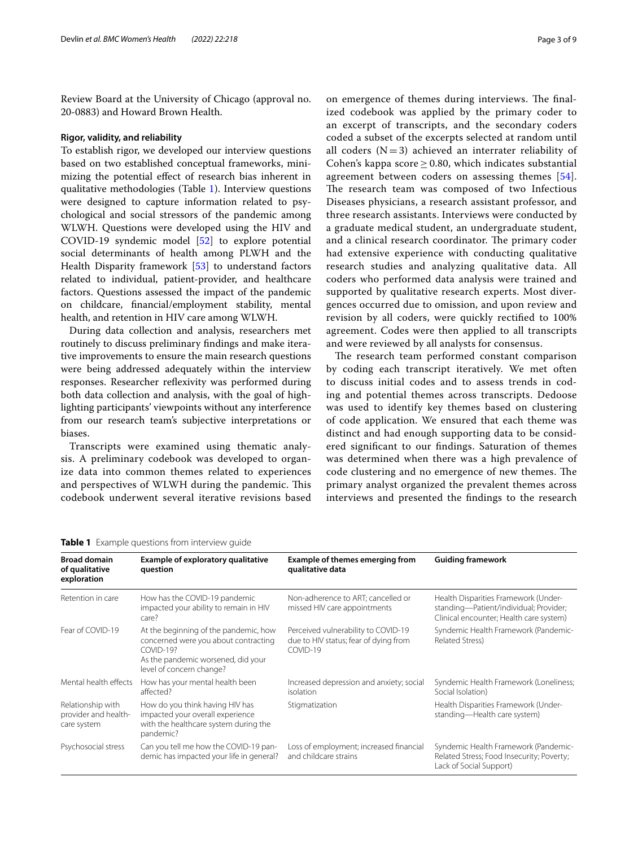Review Board at the University of Chicago (approval no. 20-0883) and Howard Brown Health.

## **Rigor, validity, and reliability**

To establish rigor, we developed our interview questions based on two established conceptual frameworks, minimizing the potential efect of research bias inherent in qualitative methodologies (Table [1](#page-2-0)). Interview questions were designed to capture information related to psychological and social stressors of the pandemic among WLWH. Questions were developed using the HIV and COVID-19 syndemic model [\[52](#page-8-7)] to explore potential social determinants of health among PLWH and the Health Disparity framework [\[53](#page-8-8)] to understand factors related to individual, patient-provider, and healthcare factors. Questions assessed the impact of the pandemic on childcare, fnancial/employment stability, mental health, and retention in HIV care among WLWH.

During data collection and analysis, researchers met routinely to discuss preliminary fndings and make iterative improvements to ensure the main research questions were being addressed adequately within the interview responses. Researcher refexivity was performed during both data collection and analysis, with the goal of highlighting participants' viewpoints without any interference from our research team's subjective interpretations or biases.

Transcripts were examined using thematic analysis. A preliminary codebook was developed to organize data into common themes related to experiences and perspectives of WLWH during the pandemic. This codebook underwent several iterative revisions based

on emergence of themes during interviews. The finalized codebook was applied by the primary coder to an excerpt of transcripts, and the secondary coders coded a subset of the excerpts selected at random until all coders  $(N=3)$  achieved an interrater reliability of Cohen's kappa score  $\geq$  0.80, which indicates substantial agreement between coders on assessing themes [[54](#page-8-9)]. The research team was composed of two Infectious Diseases physicians, a research assistant professor, and three research assistants. Interviews were conducted by a graduate medical student, an undergraduate student, and a clinical research coordinator. The primary coder had extensive experience with conducting qualitative research studies and analyzing qualitative data. All coders who performed data analysis were trained and supported by qualitative research experts. Most divergences occurred due to omission, and upon review and revision by all coders, were quickly rectifed to 100% agreement. Codes were then applied to all transcripts and were reviewed by all analysts for consensus.

The research team performed constant comparison by coding each transcript iteratively. We met often to discuss initial codes and to assess trends in coding and potential themes across transcripts. Dedoose was used to identify key themes based on clustering of code application. We ensured that each theme was distinct and had enough supporting data to be considered signifcant to our fndings. Saturation of themes was determined when there was a high prevalence of code clustering and no emergence of new themes. The primary analyst organized the prevalent themes across interviews and presented the fndings to the research

### <span id="page-2-0"></span>**Table 1** Example questions from interview quide

| <b>Broad domain</b><br>of qualitative<br>exploration     | Example of exploratory qualitative<br>question                                                                                                                 | <b>Example of themes emerging from</b><br>qualitative data                               | <b>Guiding framework</b>                                                                                                  |
|----------------------------------------------------------|----------------------------------------------------------------------------------------------------------------------------------------------------------------|------------------------------------------------------------------------------------------|---------------------------------------------------------------------------------------------------------------------------|
| Retention in care                                        | How has the COVID-19 pandemic<br>impacted your ability to remain in HIV<br>care?                                                                               | Non-adherence to ART; cancelled or<br>missed HIV care appointments                       | Health Disparities Framework (Under-<br>standing-Patient/individual; Provider;<br>Clinical encounter; Health care system) |
| Fear of COVID-19                                         | At the beginning of the pandemic, how<br>concerned were you about contracting<br>$COVID-19?$<br>As the pandemic worsened, did your<br>level of concern change? | Perceived vulnerability to COVID-19<br>due to HIV status; fear of dying from<br>COVID-19 | Syndemic Health Framework (Pandemic-<br>Related Stress)                                                                   |
| Mental health effects                                    | How has your mental health been<br>affected?                                                                                                                   | Increased depression and anxiety; social<br>isolation                                    | Syndemic Health Framework (Loneliness;<br>Social Isolation)                                                               |
| Relationship with<br>provider and health-<br>care system | How do you think having HIV has<br>impacted your overall experience<br>with the healthcare system during the<br>pandemic?                                      | Stigmatization                                                                           | Health Disparities Framework (Under-<br>standing-Health care system)                                                      |
| Psychosocial stress                                      | Can you tell me how the COVID-19 pan-<br>demic has impacted your life in general?                                                                              | Loss of employment; increased financial<br>and childcare strains                         | Syndemic Health Framework (Pandemic-<br>Related Stress; Food Insecurity; Poverty;<br>Lack of Social Support)              |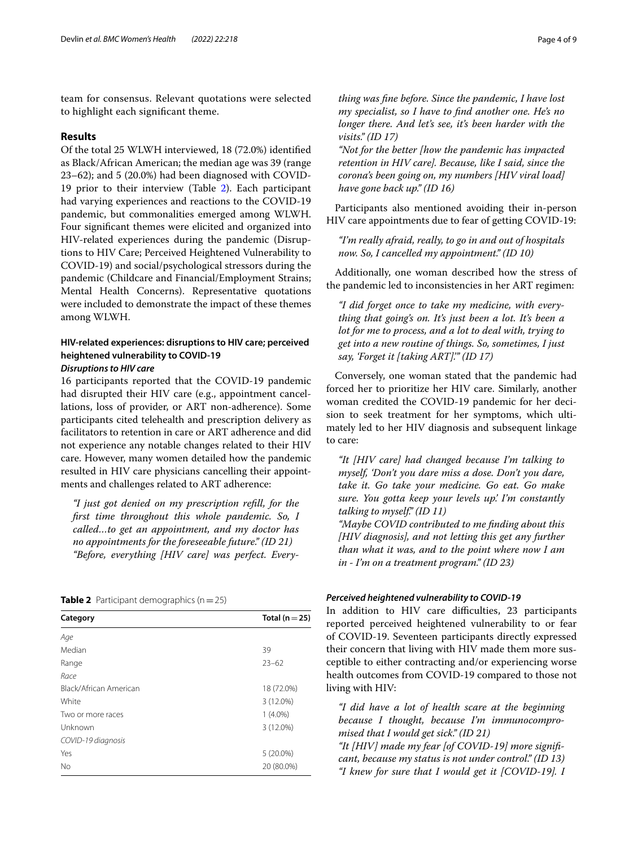team for consensus. Relevant quotations were selected to highlight each signifcant theme.

# **Results**

Of the total 25 WLWH interviewed, 18 (72.0%) identifed as Black/African American; the median age was 39 (range 23–62); and 5 (20.0%) had been diagnosed with COVID-19 prior to their interview (Table [2](#page-3-0)). Each participant had varying experiences and reactions to the COVID-19 pandemic, but commonalities emerged among WLWH. Four signifcant themes were elicited and organized into HIV-related experiences during the pandemic (Disruptions to HIV Care; Perceived Heightened Vulnerability to COVID-19) and social/psychological stressors during the pandemic (Childcare and Financial/Employment Strains; Mental Health Concerns). Representative quotations were included to demonstrate the impact of these themes among WLWH.

# **HIV‑related experiences: disruptions to HIV care; perceived heightened vulnerability to COVID‑19**

# *Disruptions to HIV care*

16 participants reported that the COVID-19 pandemic had disrupted their HIV care (e.g., appointment cancellations, loss of provider, or ART non-adherence). Some participants cited telehealth and prescription delivery as facilitators to retention in care or ART adherence and did not experience any notable changes related to their HIV care. However, many women detailed how the pandemic resulted in HIV care physicians cancelling their appointments and challenges related to ART adherence:

*"I just got denied on my prescription refll, for the frst time throughout this whole pandemic. So, I called…to get an appointment, and my doctor has no appointments for the foreseeable future." (ID 21) "Before, everything [HIV care] was perfect. Every-*

## <span id="page-3-0"></span>**Table 2** Participant demographics  $(n=25)$

| Category               | Total ( $n = 25$ ) |
|------------------------|--------------------|
| Age                    |                    |
| Median                 | 39                 |
| Range                  | $23 - 62$          |
| Race                   |                    |
| Black/African American | 18 (72.0%)         |
| White                  | 3 (12.0%)          |
| Two or more races      | $1(4.0\%)$         |
| Unknown                | 3 (12.0%)          |
| COVID-19 diagnosis     |                    |
| Yes                    | $5(20.0\%)$        |
| No                     | 20 (80.0%)         |

*thing was fne before. Since the pandemic, I have lost my specialist, so I have to fnd another one. He's no longer there. And let's see, it's been harder with the visits." (ID 17)*

*"Not for the better [how the pandemic has impacted retention in HIV care]. Because, like I said, since the corona's been going on, my numbers [HIV viral load] have gone back up." (ID 16)*

Participants also mentioned avoiding their in-person HIV care appointments due to fear of getting COVID-19:

*"I'm really afraid, really, to go in and out of hospitals now. So, I cancelled my appointment." (ID 10)*

Additionally, one woman described how the stress of the pandemic led to inconsistencies in her ART regimen:

*"I did forget once to take my medicine, with everything that going's on. It's just been a lot. It's been a lot for me to process, and a lot to deal with, trying to get into a new routine of things. So, sometimes, I just say, 'Forget it [taking ART].'" (ID 17)*

Conversely, one woman stated that the pandemic had forced her to prioritize her HIV care. Similarly, another woman credited the COVID-19 pandemic for her decision to seek treatment for her symptoms, which ultimately led to her HIV diagnosis and subsequent linkage to care:

*"It [HIV care] had changed because I'm talking to myself, 'Don't you dare miss a dose. Don't you dare, take it. Go take your medicine. Go eat. Go make sure. You gotta keep your levels up.' I'm constantly talking to myself." (ID 11)*

*"Maybe COVID contributed to me fnding about this [HIV diagnosis], and not letting this get any further than what it was, and to the point where now I am in - I'm on a treatment program." (ID 23)*

## *Perceived heightened vulnerability to COVID‑19*

In addition to HIV care difficulties, 23 participants reported perceived heightened vulnerability to or fear of COVID-19. Seventeen participants directly expressed their concern that living with HIV made them more susceptible to either contracting and/or experiencing worse health outcomes from COVID-19 compared to those not living with HIV:

*"I did have a lot of health scare at the beginning because I thought, because I'm immunocompromised that I would get sick." (ID 21)*

*"It [HIV] made my fear [of COVID-19] more signifcant, because my status is not under control." (ID 13) "I knew for sure that I would get it [COVID-19]. I*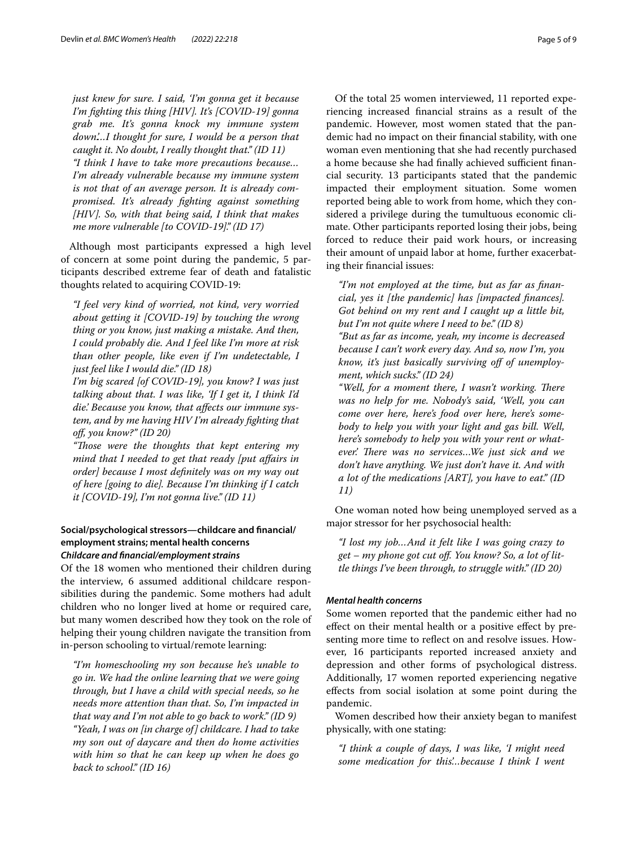*just knew for sure. I said, 'I'm gonna get it because I'm fghting this thing [HIV]. It's [COVID-19] gonna grab me. It's gonna knock my immune system down.'…I thought for sure, I would be a person that caught it. No doubt, I really thought that." (ID 11) "I think I have to take more precautions because… I'm already vulnerable because my immune system is not that of an average person. It is already compromised. It's already fghting against something [HIV]. So, with that being said, I think that makes me more vulnerable [to COVID-19]." (ID 17)*

Although most participants expressed a high level of concern at some point during the pandemic, 5 participants described extreme fear of death and fatalistic thoughts related to acquiring COVID-19:

*"I feel very kind of worried, not kind, very worried about getting it [COVID-19] by touching the wrong thing or you know, just making a mistake. And then, I could probably die. And I feel like I'm more at risk than other people, like even if I'm undetectable, I just feel like I would die." (ID 18)*

*I'm big scared [of COVID-19], you know? I was just talking about that. I was like, 'If I get it, I think I'd die.' Because you know, that afects our immune system, and by me having HIV I'm already fghting that of, you know?" (ID 20)*

*"Tose were the thoughts that kept entering my mind that I needed to get that ready [put afairs in order] because I most defnitely was on my way out of here [going to die]. Because I'm thinking if I catch it [COVID-19], I'm not gonna live." (ID 11)*

# **Social/psychological stressors—childcare and fnancial/ employment strains; mental health concerns** *Childcare and fnancial/employment strains*

Of the 18 women who mentioned their children during the interview, 6 assumed additional childcare responsibilities during the pandemic. Some mothers had adult children who no longer lived at home or required care, but many women described how they took on the role of helping their young children navigate the transition from in-person schooling to virtual/remote learning:

*"I'm homeschooling my son because he's unable to go in. We had the online learning that we were going through, but I have a child with special needs, so he needs more attention than that. So, I'm impacted in that way and I'm not able to go back to work." (ID 9) "Yeah, I was on [in charge of] childcare. I had to take my son out of daycare and then do home activities with him so that he can keep up when he does go back to school." (ID 16)*

Of the total 25 women interviewed, 11 reported experiencing increased fnancial strains as a result of the pandemic. However, most women stated that the pandemic had no impact on their fnancial stability, with one woman even mentioning that she had recently purchased a home because she had finally achieved sufficient financial security. 13 participants stated that the pandemic impacted their employment situation. Some women reported being able to work from home, which they considered a privilege during the tumultuous economic climate. Other participants reported losing their jobs, being forced to reduce their paid work hours, or increasing their amount of unpaid labor at home, further exacerbating their fnancial issues:

*"I'm not employed at the time, but as far as fnancial, yes it [the pandemic] has [impacted fnances]. Got behind on my rent and I caught up a little bit, but I'm not quite where I need to be." (ID 8) "But as far as income, yeah, my income is decreased because I can't work every day. And so, now I'm, you know, it's just basically surviving of of unemployment, which sucks." (ID 24)*

"Well, for a moment there, I wasn't working. There *was no help for me. Nobody's said, 'Well, you can come over here, here's food over here, here's somebody to help you with your light and gas bill. Well, here's somebody to help you with your rent or what*ever.' There was no services...We just sick and we *don't have anything. We just don't have it. And with a lot of the medications [ART], you have to eat." (ID 11)*

One woman noted how being unemployed served as a major stressor for her psychosocial health:

*"I lost my job…And it felt like I was going crazy to get – my phone got cut of. You know? So, a lot of little things I've been through, to struggle with." (ID 20)*

# *Mental health concerns*

Some women reported that the pandemic either had no efect on their mental health or a positive efect by presenting more time to refect on and resolve issues. However, 16 participants reported increased anxiety and depression and other forms of psychological distress. Additionally, 17 women reported experiencing negative efects from social isolation at some point during the pandemic.

Women described how their anxiety began to manifest physically, with one stating:

*"I think a couple of days, I was like, 'I might need some medication for this'…because I think I went*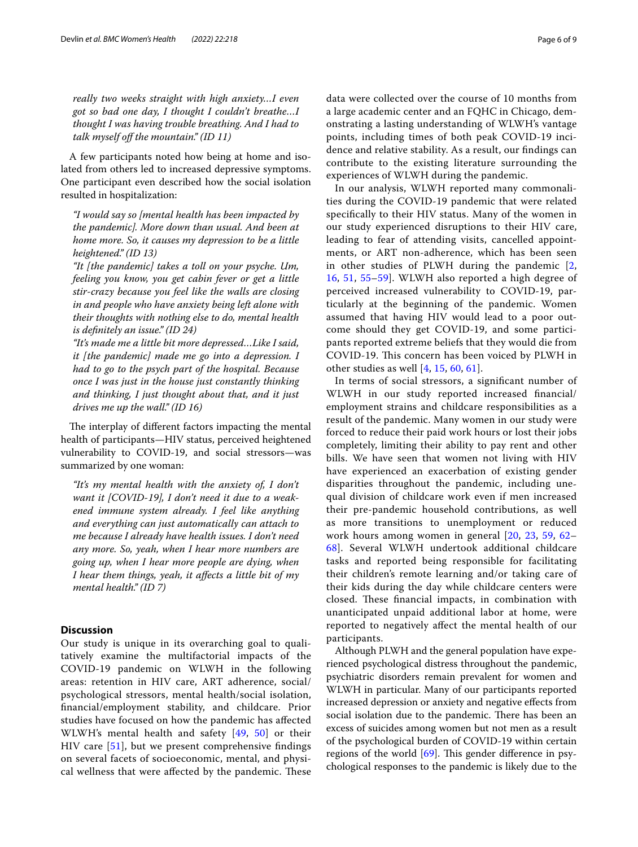*really two weeks straight with high anxiety…I even got so bad one day, I thought I couldn't breathe…I thought I was having trouble breathing. And I had to talk myself of the mountain." (ID 11)*

A few participants noted how being at home and isolated from others led to increased depressive symptoms. One participant even described how the social isolation resulted in hospitalization:

*"I would say so [mental health has been impacted by the pandemic]. More down than usual. And been at home more. So, it causes my depression to be a little heightened." (ID 13)*

*"It [the pandemic] takes a toll on your psyche. Um, feeling you know, you get cabin fever or get a little stir-crazy because you feel like the walls are closing in and people who have anxiety being left alone with their thoughts with nothing else to do, mental health is defnitely an issue." (ID 24)*

*"It's made me a little bit more depressed…Like I said, it [the pandemic] made me go into a depression. I had to go to the psych part of the hospital. Because once I was just in the house just constantly thinking and thinking, I just thought about that, and it just drives me up the wall." (ID 16)*

The interplay of different factors impacting the mental health of participants—HIV status, perceived heightened vulnerability to COVID-19, and social stressors—was summarized by one woman:

*"It's my mental health with the anxiety of, I don't want it [COVID-19], I don't need it due to a weakened immune system already. I feel like anything and everything can just automatically can attach to me because I already have health issues. I don't need any more. So, yeah, when I hear more numbers are going up, when I hear more people are dying, when I hear them things, yeah, it afects a little bit of my mental health." (ID 7)*

# **Discussion**

Our study is unique in its overarching goal to qualitatively examine the multifactorial impacts of the COVID-19 pandemic on WLWH in the following areas: retention in HIV care, ART adherence, social/ psychological stressors, mental health/social isolation, fnancial/employment stability, and childcare. Prior studies have focused on how the pandemic has afected WLWH's mental health and safety [[49](#page-8-4), [50\]](#page-8-5) or their HIV care [[51](#page-8-6)], but we present comprehensive fndings on several facets of socioeconomic, mental, and physical wellness that were affected by the pandemic. These data were collected over the course of 10 months from a large academic center and an FQHC in Chicago, demonstrating a lasting understanding of WLWH's vantage points, including times of both peak COVID-19 incidence and relative stability. As a result, our fndings can contribute to the existing literature surrounding the experiences of WLWH during the pandemic.

In our analysis, WLWH reported many commonalities during the COVID-19 pandemic that were related specifcally to their HIV status. Many of the women in our study experienced disruptions to their HIV care, leading to fear of attending visits, cancelled appointments, or ART non-adherence, which has been seen in other studies of PLWH during the pandemic [\[2](#page-7-22), [16,](#page-7-23) [51,](#page-8-6) [55–](#page-8-10)[59\]](#page-8-11). WLWH also reported a high degree of perceived increased vulnerability to COVID-19, particularly at the beginning of the pandemic. Women assumed that having HIV would lead to a poor outcome should they get COVID-19, and some participants reported extreme beliefs that they would die from COVID-19. This concern has been voiced by PLWH in other studies as well [[4,](#page-7-6) [15,](#page-7-9) [60](#page-8-12), [61](#page-8-13)].

In terms of social stressors, a signifcant number of WLWH in our study reported increased fnancial/ employment strains and childcare responsibilities as a result of the pandemic. Many women in our study were forced to reduce their paid work hours or lost their jobs completely, limiting their ability to pay rent and other bills. We have seen that women not living with HIV have experienced an exacerbation of existing gender disparities throughout the pandemic, including unequal division of childcare work even if men increased their pre-pandemic household contributions, as well as more transitions to unemployment or reduced work hours among women in general [[20](#page-7-12), [23](#page-7-24), [59,](#page-8-11) [62–](#page-8-14) [68\]](#page-8-15). Several WLWH undertook additional childcare tasks and reported being responsible for facilitating their children's remote learning and/or taking care of their kids during the day while childcare centers were closed. These financial impacts, in combination with unanticipated unpaid additional labor at home, were reported to negatively afect the mental health of our participants.

Although PLWH and the general population have experienced psychological distress throughout the pandemic, psychiatric disorders remain prevalent for women and WLWH in particular. Many of our participants reported increased depression or anxiety and negative efects from social isolation due to the pandemic. There has been an excess of suicides among women but not men as a result of the psychological burden of COVID-19 within certain regions of the world  $[69]$  $[69]$ . This gender difference in psychological responses to the pandemic is likely due to the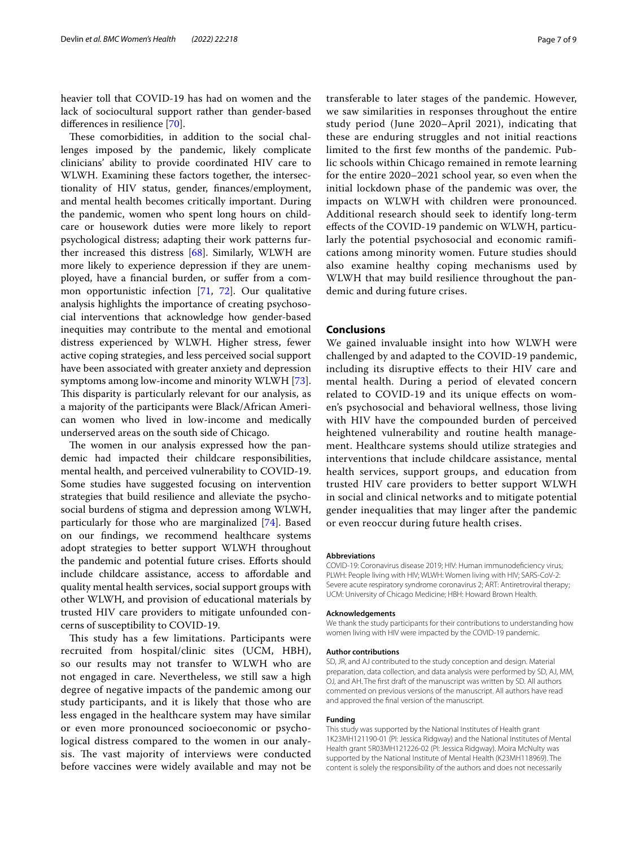heavier toll that COVID-19 has had on women and the lack of sociocultural support rather than gender-based diferences in resilience [[70\]](#page-8-17).

These comorbidities, in addition to the social challenges imposed by the pandemic, likely complicate clinicians' ability to provide coordinated HIV care to WLWH. Examining these factors together, the intersectionality of HIV status, gender, fnances/employment, and mental health becomes critically important. During the pandemic, women who spent long hours on childcare or housework duties were more likely to report psychological distress; adapting their work patterns further increased this distress [\[68\]](#page-8-15). Similarly, WLWH are more likely to experience depression if they are unemployed, have a fnancial burden, or sufer from a common opportunistic infection [\[71](#page-8-18), [72\]](#page-8-19). Our qualitative analysis highlights the importance of creating psychosocial interventions that acknowledge how gender-based inequities may contribute to the mental and emotional distress experienced by WLWH. Higher stress, fewer active coping strategies, and less perceived social support have been associated with greater anxiety and depression symptoms among low-income and minority WLWH [\[73](#page-8-20)]. This disparity is particularly relevant for our analysis, as a majority of the participants were Black/African American women who lived in low-income and medically underserved areas on the south side of Chicago.

The women in our analysis expressed how the pandemic had impacted their childcare responsibilities, mental health, and perceived vulnerability to COVID-19. Some studies have suggested focusing on intervention strategies that build resilience and alleviate the psychosocial burdens of stigma and depression among WLWH, particularly for those who are marginalized [\[74\]](#page-8-21). Based on our fndings, we recommend healthcare systems adopt strategies to better support WLWH throughout the pandemic and potential future crises. Eforts should include childcare assistance, access to afordable and quality mental health services, social support groups with other WLWH, and provision of educational materials by trusted HIV care providers to mitigate unfounded concerns of susceptibility to COVID-19.

This study has a few limitations. Participants were recruited from hospital/clinic sites (UCM, HBH), so our results may not transfer to WLWH who are not engaged in care. Nevertheless, we still saw a high degree of negative impacts of the pandemic among our study participants, and it is likely that those who are less engaged in the healthcare system may have similar or even more pronounced socioeconomic or psychological distress compared to the women in our analysis. The vast majority of interviews were conducted before vaccines were widely available and may not be transferable to later stages of the pandemic. However, we saw similarities in responses throughout the entire study period (June 2020–April 2021), indicating that these are enduring struggles and not initial reactions limited to the frst few months of the pandemic. Public schools within Chicago remained in remote learning for the entire 2020–2021 school year, so even when the initial lockdown phase of the pandemic was over, the impacts on WLWH with children were pronounced. Additional research should seek to identify long-term efects of the COVID-19 pandemic on WLWH, particularly the potential psychosocial and economic ramifcations among minority women. Future studies should also examine healthy coping mechanisms used by WLWH that may build resilience throughout the pandemic and during future crises.

# **Conclusions**

We gained invaluable insight into how WLWH were challenged by and adapted to the COVID-19 pandemic, including its disruptive efects to their HIV care and mental health. During a period of elevated concern related to COVID-19 and its unique efects on women's psychosocial and behavioral wellness, those living with HIV have the compounded burden of perceived heightened vulnerability and routine health management. Healthcare systems should utilize strategies and interventions that include childcare assistance, mental health services, support groups, and education from trusted HIV care providers to better support WLWH in social and clinical networks and to mitigate potential gender inequalities that may linger after the pandemic or even reoccur during future health crises.

#### **Abbreviations**

COVID-19: Coronavirus disease 2019; HIV: Human immunodefciency virus; PLWH: People living with HIV; WLWH: Women living with HIV; SARS-CoV-2: Severe acute respiratory syndrome coronavirus 2; ART: Antiretroviral therapy; UCM: University of Chicago Medicine; HBH: Howard Brown Health.

#### **Acknowledgements**

We thank the study participants for their contributions to understanding how women living with HIV were impacted by the COVID-19 pandemic.

#### **Author contributions**

SD, JR, and AJ contributed to the study conception and design. Material preparation, data collection, and data analysis were performed by SD, AJ, MM, OJ, and AH. The frst draft of the manuscript was written by SD. All authors commented on previous versions of the manuscript. All authors have read and approved the fnal version of the manuscript.

#### **Funding**

This study was supported by the National Institutes of Health grant 1K23MH121190-01 (PI: Jessica Ridgway) and the National Institutes of Mental Health grant 5R03MH121226-02 (PI: Jessica Ridgway). Moira McNulty was supported by the National Institute of Mental Health (K23MH118969). The content is solely the responsibility of the authors and does not necessarily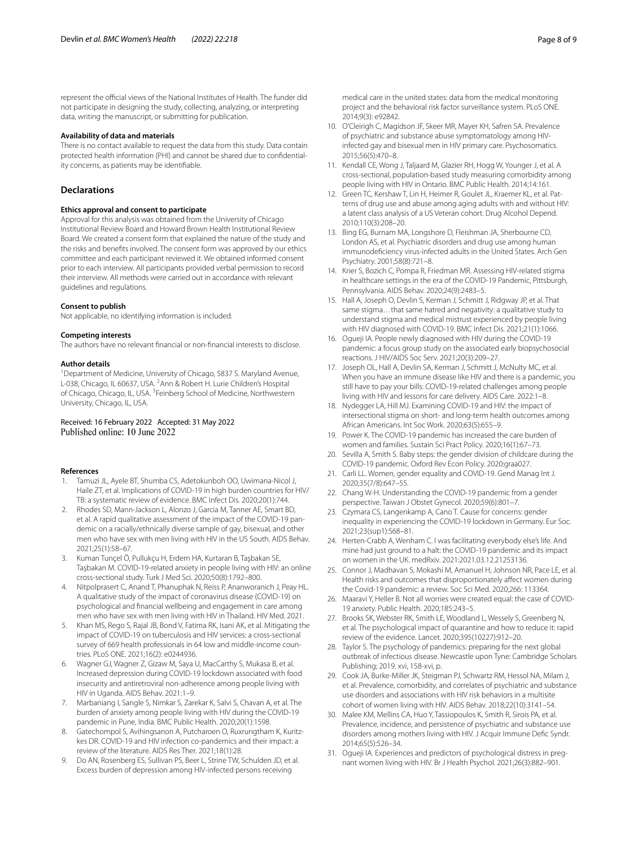represent the official views of the National Institutes of Health. The funder did not participate in designing the study, collecting, analyzing, or interpreting data, writing the manuscript, or submitting for publication.

#### **Availability of data and materials**

There is no contact available to request the data from this study. Data contain protected health information (PHI) and cannot be shared due to confdentiality concerns, as patients may be identifable.

# **Declarations**

## **Ethics approval and consent to participate**

Approval for this analysis was obtained from the University of Chicago Institutional Review Board and Howard Brown Health Institutional Review Board. We created a consent form that explained the nature of the study and the risks and benefts involved. The consent form was approved by our ethics committee and each participant reviewed it. We obtained informed consent prior to each interview. All participants provided verbal permission to record their interview. All methods were carried out in accordance with relevant guidelines and regulations.

### **Consent to publish**

Not applicable, no identifying information is included.

#### **Competing interests**

The authors have no relevant fnancial or non-fnancial interests to disclose.

### **Author details**

<sup>1</sup> Department of Medicine, University of Chicago, 5837 S. Maryland Avenue, L-038, Chicago, IL 60637, USA. <sup>2</sup> Ann & Robert H. Lurie Children's Hospital of Chicago, Chicago, IL, USA. <sup>3</sup> Feinberg School of Medicine, Northwestern University, Chicago, IL, USA.

# Received: 16 February 2022 Accepted: 31 May 2022

### **References**

- <span id="page-7-0"></span>1. Tamuzi JL, Ayele BT, Shumba CS, Adetokunboh OO, Uwimana-Nicol J, Haile ZT, et al. Implications of COVID-19 in high burden countries for HIV/ TB: a systematic review of evidence. BMC Infect Dis. 2020;20(1):744.
- <span id="page-7-22"></span>2. Rhodes SD, Mann-Jackson L, Alonzo J, Garcia M, Tanner AE, Smart BD, et al. A rapid qualitative assessment of the impact of the COVID-19 pandemic on a racially/ethnically diverse sample of gay, bisexual, and other men who have sex with men living with HIV in the US South. AIDS Behav. 2021;25(1):58–67.
- 3. Kuman Tunçel Ö, Pullukçu H, Erdem HA, Kurtaran B, Taşbakan SE, Taşbakan M. COVID-19-related anxiety in people living with HIV: an online cross-sectional study. Turk J Med Sci. 2020;50(8):1792–800.
- <span id="page-7-6"></span>4. Nitpolprasert C, Anand T, Phanuphak N, Reiss P, Ananworanich J, Peay HL. A qualitative study of the impact of coronavirus disease (COVID-19) on psychological and fnancial wellbeing and engagement in care among men who have sex with men living with HIV in Thailand. HIV Med. 2021.
- 5. Khan MS, Rego S, Rajal JB, Bond V, Fatima RK, Isani AK, et al. Mitigating the impact of COVID-19 on tuberculosis and HIV services: a cross-sectional survey of 669 health professionals in 64 low and middle-income countries. PLoS ONE. 2021;16(2): e0244936.
- 6. Wagner GJ, Wagner Z, Gizaw M, Saya U, MacCarthy S, Mukasa B, et al. Increased depression during COVID-19 lockdown associated with food insecurity and antiretroviral non-adherence among people living with HIV in Uganda. AIDS Behav. 2021:1–9.
- 7. Marbaniang I, Sangle S, Nimkar S, Zarekar K, Salvi S, Chavan A, et al. The burden of anxiety among people living with HIV during the COVID-19 pandemic in Pune, India. BMC Public Health. 2020;20(1):1598.
- <span id="page-7-1"></span>8. Gatechompol S, Avihingsanon A, Putcharoen O, Ruxrungtham K, Kuritzkes DR. COVID-19 and HIV infection co-pandemics and their impact: a review of the literature. AIDS Res Ther. 2021;18(1):28.
- <span id="page-7-2"></span>9. Do AN, Rosenberg ES, Sullivan PS, Beer L, Strine TW, Schulden JD, et al. Excess burden of depression among HIV-infected persons receiving

medical care in the united states: data from the medical monitoring project and the behavioral risk factor surveillance system. PLoS ONE. 2014;9(3): e92842.

- 10. O'Cleirigh C, Magidson JF, Skeer MR, Mayer KH, Safren SA. Prevalence of psychiatric and substance abuse symptomatology among HIVinfected gay and bisexual men in HIV primary care. Psychosomatics. 2015;56(5):470–8.
- <span id="page-7-3"></span>11. Kendall CE, Wong J, Taljaard M, Glazier RH, Hogg W, Younger J, et al. A cross-sectional, population-based study measuring comorbidity among people living with HIV in Ontario. BMC Public Health. 2014;14:161.
- <span id="page-7-4"></span>12. Green TC, Kershaw T, Lin H, Heimer R, Goulet JL, Kraemer KL, et al. Patterns of drug use and abuse among aging adults with and without HIV: a latent class analysis of a US Veteran cohort. Drug Alcohol Depend. 2010;110(3):208–20.
- <span id="page-7-5"></span>13. Bing EG, Burnam MA, Longshore D, Fleishman JA, Sherbourne CD, London AS, et al. Psychiatric disorders and drug use among human immunodefciency virus-infected adults in the United States. Arch Gen Psychiatry. 2001;58(8):721–8.
- <span id="page-7-7"></span>14. Krier S, Bozich C, Pompa R, Friedman MR. Assessing HIV-related stigma in healthcare settings in the era of the COVID-19 Pandemic, Pittsburgh, Pennsylvania. AIDS Behav. 2020;24(9):2483–5.
- <span id="page-7-9"></span>15. Hall A, Joseph O, Devlin S, Kerman J, Schmitt J, Ridgway JP, et al. That same stigma…that same hatred and negativity: a qualitative study to understand stigma and medical mistrust experienced by people living with HIV diagnosed with COVID-19. BMC Infect Dis. 2021;21(1):1066.
- <span id="page-7-23"></span>16. Ogueji IA. People newly diagnosed with HIV during the COVID-19 pandemic: a focus group study on the associated early biopsychosocial reactions. J HIV/AIDS Soc Serv. 2021;20(3):209–27.
- <span id="page-7-8"></span>17. Joseph OL, Hall A, Devlin SA, Kerman J, Schmitt J, McNulty MC, et al. When you have an immune disease like HIV and there is a pandemic, you still have to pay your bills: COVID-19-related challenges among people living with HIV and lessons for care delivery. AIDS Care. 2022:1–8.
- <span id="page-7-10"></span>18. Nydegger LA, Hill MJ. Examining COVID-19 and HIV: the impact of intersectional stigma on short- and long-term health outcomes among African Americans. Int Soc Work. 2020;63(5):655–9.
- <span id="page-7-11"></span>19. Power K. The COVID-19 pandemic has increased the care burden of women and families. Sustain Sci Pract Policy. 2020;16(1):67–73.
- <span id="page-7-12"></span>20. Sevilla A, Smith S. Baby steps: the gender division of childcare during the COVID-19 pandemic. Oxford Rev Econ Policy. 2020:graa027.
- <span id="page-7-13"></span>21. Carli LL. Women, gender equality and COVID-19. Gend Manag Int J. 2020;35(7/8):647–55.
- <span id="page-7-17"></span>22. Chang W-H. Understanding the COVID-19 pandemic from a gender perspective. Taiwan J Obstet Gynecol. 2020;59(6):801–7.
- <span id="page-7-24"></span>23. Czymara CS, Langenkamp A, Cano T. Cause for concerns: gender inequality in experiencing the COVID-19 lockdown in Germany. Eur Soc. 2021;23(sup1):S68–81.
- <span id="page-7-14"></span>24. Herten-Crabb A, Wenham C. I was facilitating everybody else's life. And mine had just ground to a halt: the COVID-19 pandemic and its impact on women in the UK. medRxiv. 2021:2021.03.12.21253136.
- <span id="page-7-15"></span>25. Connor J, Madhavan S, Mokashi M, Amanuel H, Johnson NR, Pace LE, et al. Health risks and outcomes that disproportionately afect women during the Covid-19 pandemic: a review. Soc Sci Med. 2020;266: 113364.
- <span id="page-7-16"></span>26. Maaravi Y, Heller B. Not all worries were created equal: the case of COVID-19 anxiety. Public Health. 2020;185:243–5.
- <span id="page-7-18"></span>27. Brooks SK, Webster RK, Smith LE, Woodland L, Wessely S, Greenberg N, et al. The psychological impact of quarantine and how to reduce it: rapid review of the evidence. Lancet. 2020;395(10227):912–20.
- <span id="page-7-19"></span>28. Taylor S. The psychology of pandemics: preparing for the next global outbreak of infectious disease. Newcastle upon Tyne: Cambridge Scholars Publishing; 2019. xvi, 158-xvi, p.
- <span id="page-7-20"></span>29. Cook JA, Burke-Miller JK, Steigman PJ, Schwartz RM, Hessol NA, Milam J, et al. Prevalence, comorbidity, and correlates of psychiatric and substance use disorders and associations with HIV risk behaviors in a multisite cohort of women living with HIV. AIDS Behav. 2018;22(10):3141–54.
- 30. Malee KM, Mellins CA, Huo Y, Tassiopoulos K, Smith R, Sirois PA, et al. Prevalence, incidence, and persistence of psychiatric and substance use disorders among mothers living with HIV. J Acquir Immune Defc Syndr. 2014;65(5):526–34.
- <span id="page-7-21"></span>31. Ogueji IA. Experiences and predictors of psychological distress in pregnant women living with HIV. Br J Health Psychol. 2021;26(3):882–901.